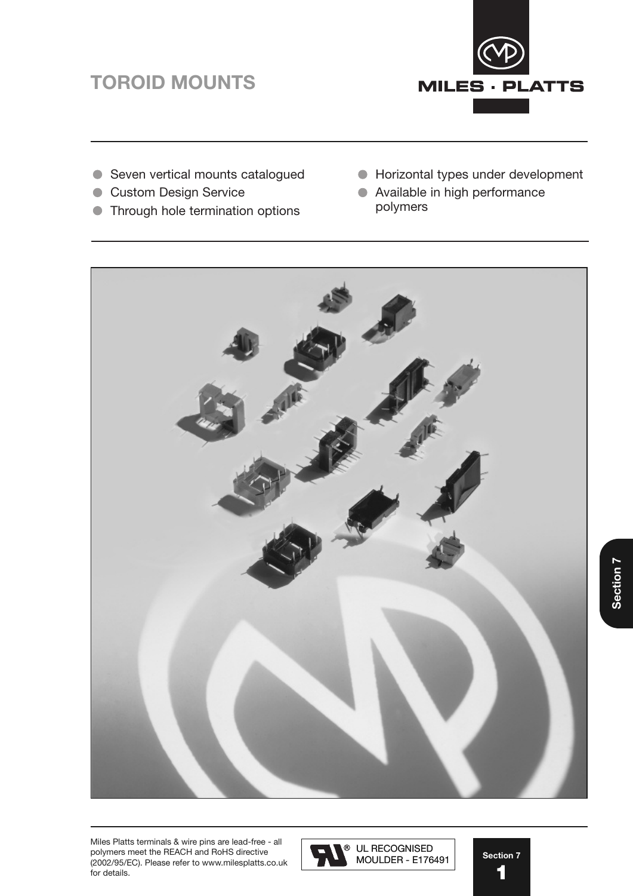# **TOROID MOUNTS** TOROID MOUNTS



- Seven vertical mounts catalogued
- **Custom Design Service**
- **Through hole termination options**
- Horizontal types under development
- Available in high performance polymers



Miles Platts terminals & wire pins are lead-free - all For further technical information please contact sales polymers meet the REACH and RoHS directive<br>(2009.05.55) (2002/95/EC). Please refer to www.milesplatts.co.uk for details.



Section 7 **1** 1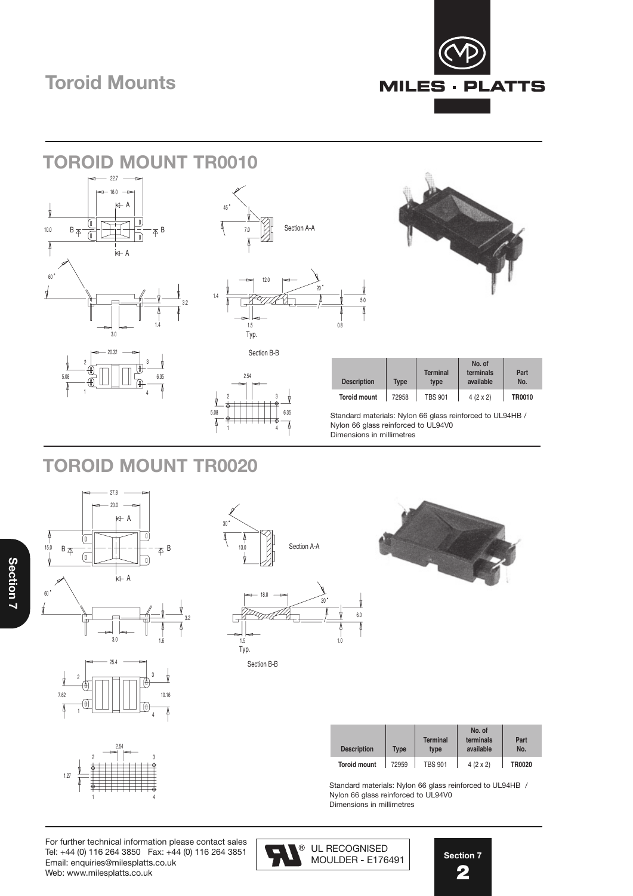# **Toroid Mounts** Toroid Mounts







| <b>Description</b>  | <b>Type</b> | <b>Terminal</b><br>type | No. of<br>terminals<br>available | Part<br>No.   |
|---------------------|-------------|-------------------------|----------------------------------|---------------|
| <b>Toroid mount</b> | 72958       | <b>TBS 901</b>          | $4(2 \times 2)$                  | <b>TR0010</b> |

Standard materials: Nylon 66 glass reinforced to UL94HB / Nylon 66 glass reinforced to UL94V0 Dimensions in millimetres

### **TOROID MOUNT TR0020**







| <b>Description</b>  | Type  | <b>Terminal</b><br>type | No. of<br>terminals<br>available | Part<br>No.   |
|---------------------|-------|-------------------------|----------------------------------|---------------|
| <b>Toroid mount</b> | 72959 | <b>TBS 901</b>          | $4(2 \times 2)$                  | <b>TR0020</b> |

Standard materials: Nylon 66 glass reinforced to UL94HB / Nylon 66 glass reinforced to UL94V0 Dimensions in millimetres

1 2 || J 4 2.54 1.27

For further technical information please contact sales  $\sqrt{a}$ Tel: +44 (0) 116 264 3850 Fax: +44 (0) 116 264 3851 Email: enquiries@milesplatts.co.uk Web: www.milesplatts.co.uk

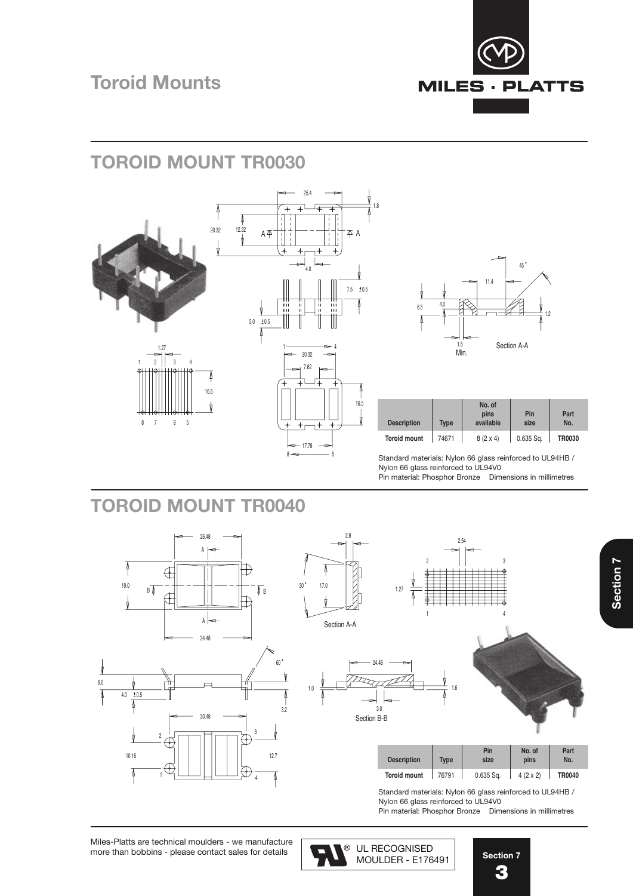

# **TOROID MOUNT TR0030**





| <b>Description</b>  | <b>Type</b> | No. of<br>pins<br>available | Pin<br>size | Part<br>No. |
|---------------------|-------------|-----------------------------|-------------|-------------|
| <b>Toroid mount</b> | 74671       | $8(2 \times 4)$             | $0.635$ Sq. | TR0030      |

setting the materials: Nylon 66 glass reinforced to UL94HB /<br>8 5 Standard materials: Nylon 66 glass reinforced to UL94HB Nylon 66 glass reinforced to UL94V0 Pin material: Phosphor Bronze Dimensions in millimetres

#### **TOROID MOUNT TR0040**





2.8







| <b>Description</b>  | <b>Type</b> | Pin<br>size | No. of<br>pins  | Part<br>No. |
|---------------------|-------------|-------------|-----------------|-------------|
| <b>Toroid mount</b> | 76791       | $0.635$ Sa. | $4(2 \times 2)$ | TR0040      |

Standard materials: Nylon 66 glass reinforced to UL94HB / Dianuard materials: ryformed glass is<br>Nylon 66 glass reinforced to UL94V0

Pin material: Phosphor Bronze Dimensions in millimetres

Miles-Platts are technical moulders - we manufacture  $\Box$ more than bobbins - please contact sales for details.  $\begin{array}{|c|c|}\n\hline\n\end{array}$ 

UL RECOGNISED MOULDER - E176491

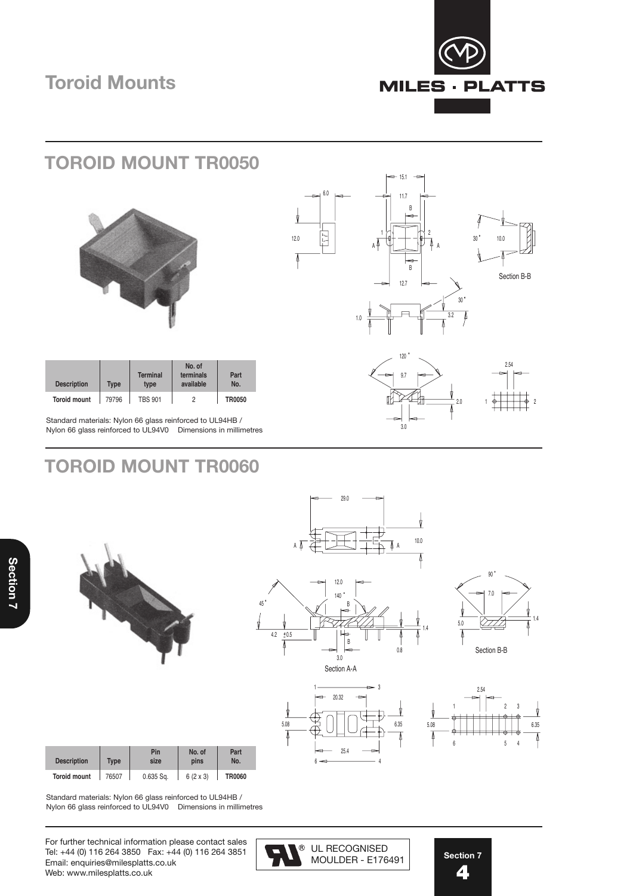

### **TOROID MOUNT TR0050**







Standard materials: Nylon 66 glass reinforced to UL94HB / Nylon 66 glass reinforced to UL94V0 Dimensions in millimetres

**Description** Type type available No. **Toroid mount** 79796 TBS 901 2 **TR0050**

**No. of** Terminal terminals **Part** 

## **TOROID MOUNT TR0060**





29.0

| <b>Description</b>  | <b>Type</b> | Pin<br>size | No. of<br>pins  | Part<br>No.   |
|---------------------|-------------|-------------|-----------------|---------------|
| <b>Toroid mount</b> | 76507       | $0.635$ Sq. | $6(2 \times 3)$ | <b>TR0060</b> |







Standard materials: Nylon 66 glass reinforced to UL94HB / Nylon 66 glass reinforced to UL94V0 Dimensions in millimetres

For further technical information please contact sales  $\sqrt{a}$ Tel: +44 (0) 116 264 3850 Fax: +44 (0) 116 264 3851 Email: enquiries@milesplatts.co.uk Web: www.milesplatts.co.uk



**Section 7 4** 4

I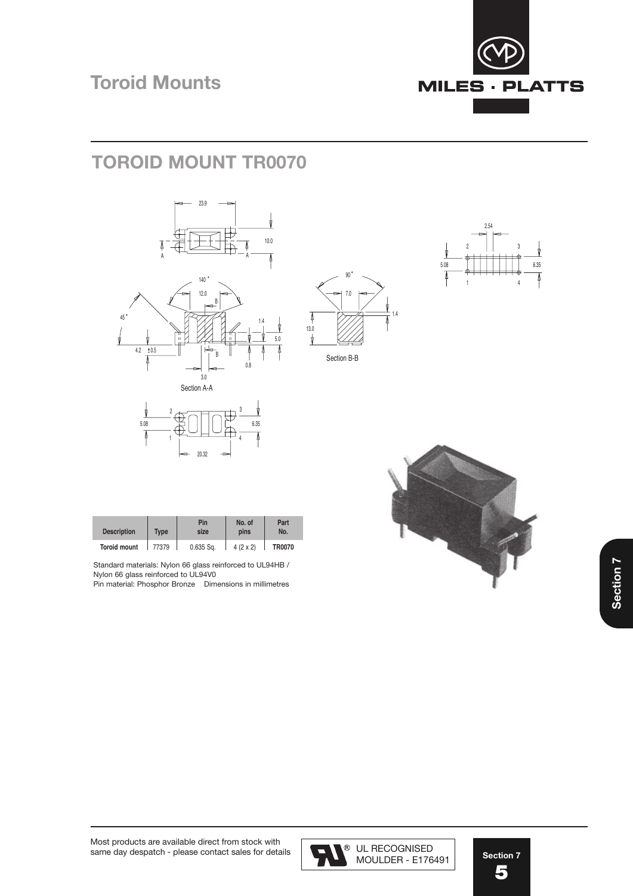

# **TOROID MOUNT TR0070**









| <b>Description</b>  | <b>Type</b> | Pin<br>size | No. of<br>pins  | Part<br>No.   |
|---------------------|-------------|-------------|-----------------|---------------|
| <b>Toroid mount</b> | 77379       | $0.635$ Sa. | $4(2 \times 2)$ | <b>TR0070</b> |

 $^2$   $\sim$   $\sim$   $\sim$   $\sim$   $\sim$   $\sim$   $^3$ 

20.32

5.00 — ا⊣ا ال— 0.00

4

Standard materials: Nylon 66 glass reinforced to UL94HB / Nylon 66 glass reinforced to UL94V0

1

Pin material: Phosphor Bronze Dimensions in millimetres





MOULDER - E176491 UL RECOGNISED MOULDER - E176491